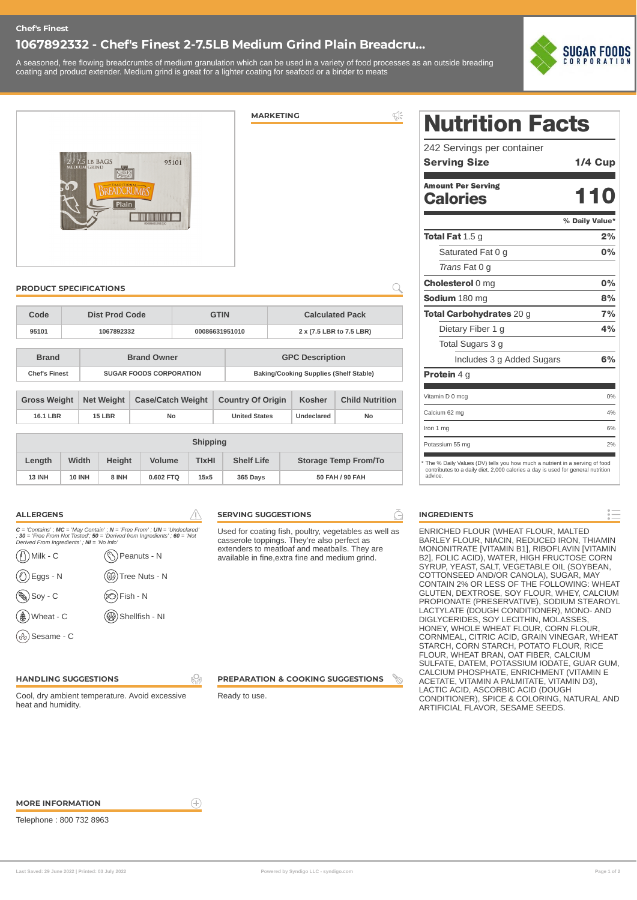### **Chef's Finest**

# **1067892332 - Chef's Finest 2-7.5LB Medium Grind Plain Breadcru...**

A seasoned, free flowing breadcrumbs of medium granulation which can be used in a variety of food processes as an outside breading coating and product extender. Medium grind is great for a lighter coating for seafood or a binder to meats



| 2 / 7.5 LB BAGS<br>95101<br>CHEF'S<br><b>OD</b><br>BREADCRUMBS<br>Plain<br>0086631951010 |                                          |                                |                         |                          |                                       |                                               |                      | <b>MARKETING</b>       |                                           |                             | $\Leftrightarrow$      |
|------------------------------------------------------------------------------------------|------------------------------------------|--------------------------------|-------------------------|--------------------------|---------------------------------------|-----------------------------------------------|----------------------|------------------------|-------------------------------------------|-----------------------------|------------------------|
|                                                                                          | <b>PRODUCT SPECIFICATIONS</b>            |                                |                         |                          |                                       |                                               |                      |                        |                                           |                             |                        |
| Code                                                                                     | <b>Dist Prod Code</b>                    |                                |                         |                          | <b>GTIN</b><br><b>Calculated Pack</b> |                                               |                      |                        |                                           |                             |                        |
| 95101                                                                                    |                                          | 1067892332                     |                         |                          | 00086631951010                        |                                               |                      |                        | 2 x (7.5 LBR to 7.5 LBR)                  |                             |                        |
| <b>Brand</b>                                                                             | <b>Brand Owner</b>                       |                                |                         |                          |                                       |                                               |                      | <b>GPC Description</b> |                                           |                             |                        |
| <b>Chef's Finest</b>                                                                     |                                          | <b>SUGAR FOODS CORPORATION</b> |                         |                          |                                       | <b>Baking/Cooking Supplies (Shelf Stable)</b> |                      |                        |                                           |                             |                        |
|                                                                                          | <b>Gross Weight</b><br><b>Net Weight</b> |                                |                         | <b>Case/Catch Weight</b> |                                       |                                               |                      |                        | <b>Country Of Origin</b><br><b>Kosher</b> |                             | <b>Child Nutrition</b> |
|                                                                                          | 16.1 LBR                                 |                                | 15 LBR<br>No            |                          |                                       |                                               | <b>United States</b> |                        | <b>Undeclared</b>                         | No                          |                        |
| <b>Shipping</b>                                                                          |                                          |                                |                         |                          |                                       |                                               |                      |                        |                                           |                             |                        |
| Length<br>Width                                                                          |                                          |                                | <b>Volume</b><br>Height |                          |                                       | <b>TIXHI</b>                                  |                      | <b>Shelf Life</b>      |                                           | <b>Storage Temp From/To</b> |                        |
| <b>10 INH</b><br><b>13 INH</b>                                                           |                                          | 8 INH                          |                         | 0.602 FTQ<br>15x5        |                                       |                                               | 365 Days             |                        | 50 FAH / 90 FAH                           |                             |                        |

| <b>ALLERGENS</b>                          |                                                                                                                                                           |
|-------------------------------------------|-----------------------------------------------------------------------------------------------------------------------------------------------------------|
| Derived From Ingredients'; NI = 'No Info' | $C =$ 'Contains'; MC = 'May Contain'; N = 'Free From'; UN = 'Undeclared'<br>: 30 = 'Free From Not Tested': $50$ = 'Derived from Ingredients': $60$ = 'Not |
| Milk - C                                  | Peanuts - N                                                                                                                                               |
| Eggs - N                                  | Tree Nuts - N                                                                                                                                             |
| $Soy - C$                                 | Fish - N                                                                                                                                                  |
| Wheat - C                                 | Shellfish - NI                                                                                                                                            |
| Sesame - C                                |                                                                                                                                                           |

#### **SERVING SUGGESTIONS**

Used for coating fish, poultry, vegetables as well as casserole toppings. They're also perfect as extenders to meatloaf and meatballs. They are available in fine,extra fine and medium grind.

**HANDLING SUGGESTIONS**

Cool, dry ambient temperature. Avoid excessive heat and humidity.

**PREPARATION & COOKING SUGGESTIONS**

Ready to use.

**99** 

 $\left( \widehat{+}\right)$ 

# Nutrition Facts

| 242 Servings per container                                                                                                                                               |                |
|--------------------------------------------------------------------------------------------------------------------------------------------------------------------------|----------------|
| <b>Serving Size</b>                                                                                                                                                      | <b>1/4 Cup</b> |
| <b>Amount Per Serving</b>                                                                                                                                                | 110            |
| <b>Calories</b>                                                                                                                                                          |                |
|                                                                                                                                                                          | % Daily Value* |
| <b>Total Fat 1.5 g</b>                                                                                                                                                   | 2%             |
| Saturated Fat 0 g                                                                                                                                                        | 0%             |
| Trans Fat 0 g                                                                                                                                                            |                |
| <b>Cholesterol 0 mg</b>                                                                                                                                                  | 0%             |
| Sodium 180 mg                                                                                                                                                            | 8%             |
| Total Carbohydrates 20 g                                                                                                                                                 | 7%             |
| Dietary Fiber 1 g                                                                                                                                                        | 4%             |
| Total Sugars 3 g                                                                                                                                                         |                |
| Includes 3 g Added Sugars                                                                                                                                                | 6%             |
| Protein 4 a                                                                                                                                                              |                |
| Vitamin D 0 mcg                                                                                                                                                          | 0%             |
| Calcium 62 mg                                                                                                                                                            | 4%             |
| Iron 1 mg                                                                                                                                                                | 6%             |
| Potassium 55 mg                                                                                                                                                          | 2%             |
| The % Daily Values (DV) tells you how much a nutrient in a serving of food<br>contributes to a daily diet. 2,000 calories a day is used for general nutrition<br>advice. |                |

#### **INGREDIENTS**

Ā

ENRICHED FLOUR (WHEAT FLOUR, MALTED BARLEY FLOUR, NIACIN, REDUCED IRON, THIAMIN MONONITRATE [VITAMIN B1], RIBOFLAVIN [VITAMIN B2], FOLIC ACID), WATER, HIGH FRUCTOSE CORN SYRUP, YEAST, SALT, VEGETABLE OIL (SOYBEAN, COTTONSEED AND/OR CANOLA), SUGAR, MAY CONTAIN 2% OR LESS OF THE FOLLOWING: WHEAT GLUTEN, DEXTROSE, SOY FLOUR, WHEY, CALCIUM PROPIONATE (PRESERVATIVE), SODIUM STEAROYL LACTYLATE (DOUGH CONDITIONER), MONO- AND DIGLYCERIDES, SOY LECITHIN, MOLASSES, HONEY, WHOLE WHEAT FLOUR, CORN FLOUR, CORNMEAL, CITRIC ACID, GRAIN VINEGAR, WHEAT STARCH, CORN STARCH, POTATO FLOUR, RICE FLOUR, WHEAT BRAN, OAT FIBER, CALCIUM SULFATE, DATEM, POTASSIUM IODATE, GUAR GUM, CALCIUM PHOSPHATE, ENRICHMENT (VITAMIN E ACETATE, VITAMIN A PALMITATE, VITAMIN D3), LACTIC ACID, ASCORBIC ACID (DOUGH CONDITIONER), SPICE & COLORING, NATURAL AND ARTIFICIAL FLAVOR, SESAME SEEDS.

**MORE INFORMATION**

Telephone : 800 732 8963